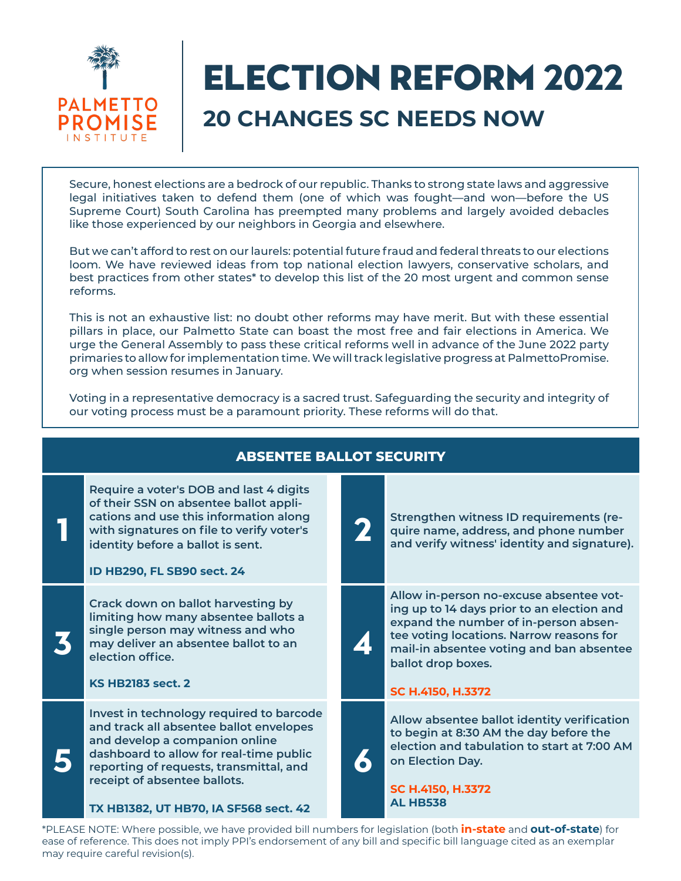

# Election Reform 2022 **20 CHANGES SC NEEDS NOW**

Secure, honest elections are a bedrock of our republic. Thanks to strong state laws and aggressive legal initiatives taken to defend them (one of which was fought—and won—before the US Supreme Court) South Carolina has preempted many problems and largely avoided debacles like those experienced by our neighbors in Georgia and elsewhere.

But we can't afford to rest on our laurels: potential future fraud and federal threats to our elections loom. We have reviewed ideas from top national election lawyers, conservative scholars, and best practices from other states\* to develop this list of the 20 most urgent and common sense reforms.

This is not an exhaustive list: no doubt other reforms may have merit. But with these essential pillars in place, our Palmetto State can boast the most free and fair elections in America. We urge the General Assembly to pass these critical reforms well in advance of the June 2022 party primaries to allow for implementation time. We will track legislative progress at PalmettoPromise. org when session resumes in January.

Voting in a representative democracy is a sacred trust. Safeguarding the security and integrity of our voting process must be a paramount priority. These reforms will do that.

**ABSENTEE BALLOT SECURITY**

| ABSENTEE BALLUT SECURIT |                                                                                                                                                                                                                                                                                      |  |                |                                                                                                                                                                                                                                                                   |
|-------------------------|--------------------------------------------------------------------------------------------------------------------------------------------------------------------------------------------------------------------------------------------------------------------------------------|--|----------------|-------------------------------------------------------------------------------------------------------------------------------------------------------------------------------------------------------------------------------------------------------------------|
|                         | Require a voter's DOB and last 4 digits<br>of their SSN on absentee ballot appli-<br>cations and use this information along<br>with signatures on file to verify voter's<br>identity before a ballot is sent.<br>ID HB290, FL SB90 sect. 24                                          |  |                | Strengthen witness ID requirements (re-<br>quire name, address, and phone number<br>and verify witness' identity and signature).                                                                                                                                  |
|                         | Crack down on ballot harvesting by<br>limiting how many absentee ballots a<br>single person may witness and who<br>may deliver an absentee ballot to an<br>election office.<br><b>KS HB2183 sect. 2</b>                                                                              |  | $\mathbf{Z}$ ! | Allow in-person no-excuse absentee vot-<br>ing up to 14 days prior to an election and<br>expand the number of in-person absen-<br>tee voting locations. Narrow reasons for<br>mail-in absentee voting and ban absentee<br>ballot drop boxes.<br>SC H.4150, H.3372 |
|                         | Invest in technology required to barcode<br>and track all absentee ballot envelopes<br>and develop a companion online<br>dashboard to allow for real-time public<br>reporting of requests, transmittal, and<br>receipt of absentee ballots.<br>TX HB1382, UT HB70, IA SF568 sect. 42 |  |                | Allow absentee ballot identity verification<br>to begin at 8:30 AM the day before the<br>election and tabulation to start at 7:00 AM<br>on Election Day.<br>SC H.4150, H.3372<br><b>AL HB538</b>                                                                  |
|                         | *DLEASE NOTE: Whara noscibla wa baya providad bill numbars for lagislation (both <b>in-stata</b> and <b>Out-of-stata</b> ) for                                                                                                                                                       |  |                |                                                                                                                                                                                                                                                                   |

\*PLEASE NOTE: Where possible, we have provided bill numbers for legislation (both **in-state** and **out-of-state**) for ease of reference. This does not imply PPI's endorsement of any bill and specific bill language cited as an exemplar may require careful revision(s).